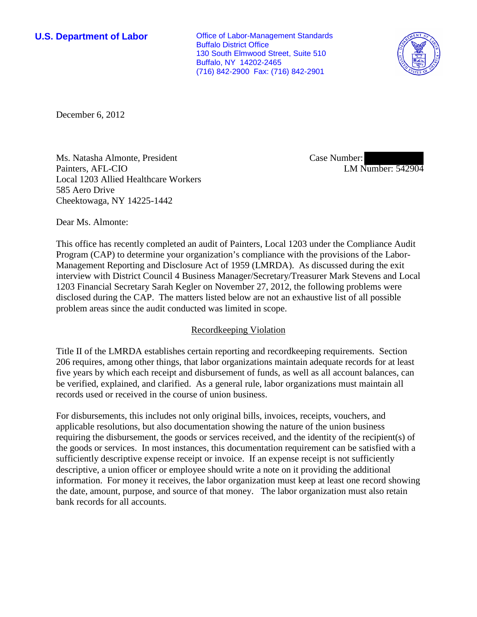**U.S. Department of Labor Conservative Conservative Conservative Conservative Conservative Conservative Conservative Conservative Conservative Conservative Conservative Conservative Conservative Conservative Conservative** Buffalo District Office 130 South Elmwood Street, Suite 510 Buffalo, NY 14202-2465 (716) 842-2900 Fax: (716) 842-2901



December 6, 2012

Ms. Natasha Almonte, President Painters, AFL-CIO Local 1203 Allied Healthcare Workers 585 Aero Drive Cheektowaga, NY 14225-1442

Case Number: LM Number: 542904

Dear Ms. Almonte:

This office has recently completed an audit of Painters, Local 1203 under the Compliance Audit Program (CAP) to determine your organization's compliance with the provisions of the Labor-Management Reporting and Disclosure Act of 1959 (LMRDA). As discussed during the exit interview with District Council 4 Business Manager/Secretary/Treasurer Mark Stevens and Local 1203 Financial Secretary Sarah Kegler on November 27, 2012, the following problems were disclosed during the CAP. The matters listed below are not an exhaustive list of all possible problem areas since the audit conducted was limited in scope.

## Recordkeeping Violation

Title II of the LMRDA establishes certain reporting and recordkeeping requirements. Section 206 requires, among other things, that labor organizations maintain adequate records for at least five years by which each receipt and disbursement of funds, as well as all account balances, can be verified, explained, and clarified. As a general rule, labor organizations must maintain all records used or received in the course of union business.

For disbursements, this includes not only original bills, invoices, receipts, vouchers, and applicable resolutions, but also documentation showing the nature of the union business requiring the disbursement, the goods or services received, and the identity of the recipient(s) of the goods or services. In most instances, this documentation requirement can be satisfied with a sufficiently descriptive expense receipt or invoice. If an expense receipt is not sufficiently descriptive, a union officer or employee should write a note on it providing the additional information. For money it receives, the labor organization must keep at least one record showing the date, amount, purpose, and source of that money. The labor organization must also retain bank records for all accounts.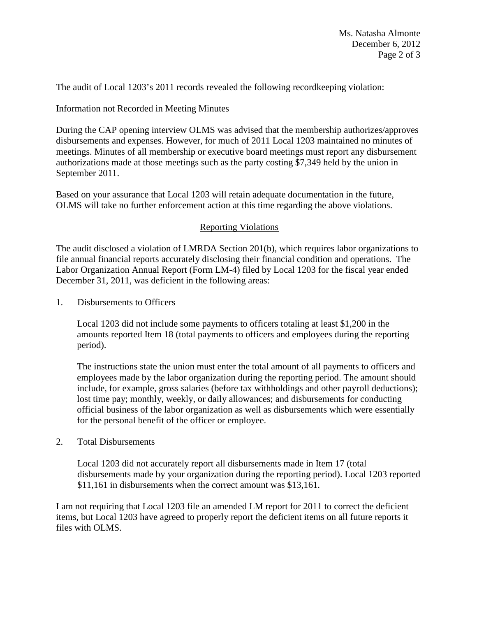The audit of Local 1203's 2011 records revealed the following recordkeeping violation:

Information not Recorded in Meeting Minutes

During the CAP opening interview OLMS was advised that the membership authorizes/approves disbursements and expenses. However, for much of 2011 Local 1203 maintained no minutes of meetings. Minutes of all membership or executive board meetings must report any disbursement authorizations made at those meetings such as the party costing \$7,349 held by the union in September 2011.

Based on your assurance that Local 1203 will retain adequate documentation in the future, OLMS will take no further enforcement action at this time regarding the above violations.

## Reporting Violations

The audit disclosed a violation of LMRDA Section 201(b), which requires labor organizations to file annual financial reports accurately disclosing their financial condition and operations. The Labor Organization Annual Report (Form LM-4) filed by Local 1203 for the fiscal year ended December 31, 2011, was deficient in the following areas:

1. Disbursements to Officers

Local 1203 did not include some payments to officers totaling at least \$1,200 in the amounts reported Item 18 (total payments to officers and employees during the reporting period).

The instructions state the union must enter the total amount of all payments to officers and employees made by the labor organization during the reporting period. The amount should include, for example, gross salaries (before tax withholdings and other payroll deductions); lost time pay; monthly, weekly, or daily allowances; and disbursements for conducting official business of the labor organization as well as disbursements which were essentially for the personal benefit of the officer or employee.

## 2. Total Disbursements

Local 1203 did not accurately report all disbursements made in Item 17 (total disbursements made by your organization during the reporting period). Local 1203 reported \$11,161 in disbursements when the correct amount was \$13,161.

I am not requiring that Local 1203 file an amended LM report for 2011 to correct the deficient items, but Local 1203 have agreed to properly report the deficient items on all future reports it files with OLMS.